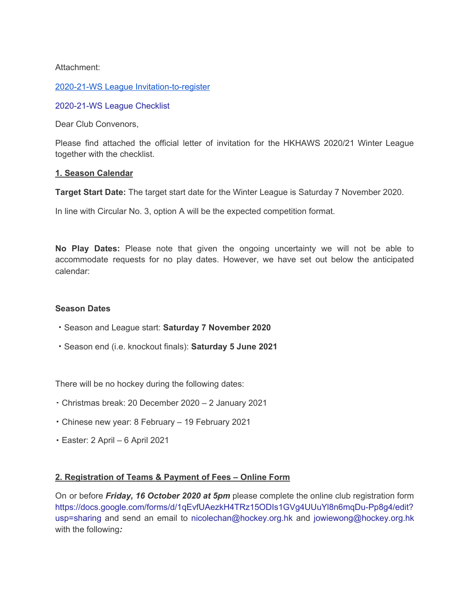### Attachment:

#### 2020-21-WS League [Invitation-to-register](https://hkha.sportlomo.com/wp-content/uploads/2020/12/2020-21-WS-League-Invitation-to-register-invitation-to-register.pdf)

#### [2020-21-WS](https://hkha.sportlomo.com/wp-content/uploads/2020/12/2020-21-WS-League-Checklist.pdf) League Checklist

Dear Club Convenors,

Please find attached the official letter of invitation for the HKHAWS 2020/21 Winter League together with the checklist.

#### **1. Season Calendar**

**Target Start Date:** The target start date for the Winter League is Saturday 7 November 2020.

In line with Circular No. 3, option A will be the expected competition format.

**No Play Dates:** Please note that given the ongoing uncertainty we will not be able to accommodate requests for no play dates. However, we have set out below the anticipated calendar:

#### **Season Dates**

- ‧ Season and League start: **Saturday 7 November 2020**
- ‧ Season end (i.e. knockout finals): **Saturday 5 June 2021**

There will be no hockey during the following dates:

- ‧ Christmas break: 20 December 2020 2 January 2021
- ‧ Chinese new year: 8 February 19 February 2021
- ‧ Easter: 2 April 6 April 2021

### **2. Registration of Teams & Payment of Fees – Online Form**

On or before *Friday, 16 October 2020 at 5pm* please complete the online club registration form [https://docs.google.com/forms/d/1qEvfUAezkH4TRz15ODIs1GVg4UUuYl8n6mqDu-Pp8g4/edit?](https://docs.google.com/forms/d/1qEvfUAezkH4TRz15ODIs1GVg4UUuYl8n6mqDu-Pp8g4/edit?usp=sharing) [usp=sharing](https://docs.google.com/forms/d/1qEvfUAezkH4TRz15ODIs1GVg4UUuYl8n6mqDu-Pp8g4/edit?usp=sharing) and send an email to nicolechan@hockey.org.hk and jowiewong@hockey.org.hk with the following*:*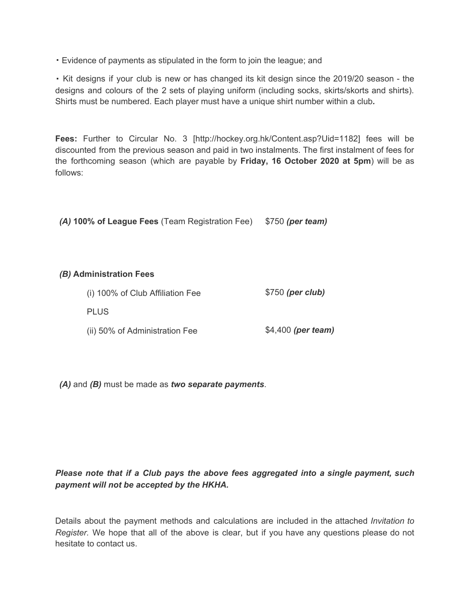‧ Evidence of payments as stipulated in the form to join the league; and

‧ Kit designs if your club is new or has changed its kit design since the 2019/20 season - the designs and colours of the 2 sets of playing uniform (including socks, skirts/skorts and shirts). Shirts must be numbered. Each player must have a unique shirt number within a club*.*

**Fees:** Further to Circular No. 3 [http://hockey.org.hk/Content.asp?Uid=1182] fees will be discounted from the previous season and paid in two instalments. The first instalment of fees for the forthcoming season (which are payable by **Friday, 16 October 2020 at 5pm**) will be as follows:

*(A)* **100% of League Fees** (Team Registration Fee) \$750 *(per team)*

### *(B)* **Administration Fees**

| (i) 100% of Club Affiliation Fee<br><b>PLUS</b> | $$750$ (per club) |
|-------------------------------------------------|-------------------|
|                                                 |                   |

*(A)* and *(B)* must be made as *two separate payments*.

# *Please note that if a Club pays the above fees aggregated into a single payment, such payment will not be accepted by the HKHA.*

Details about the payment methods and calculations are included in the attached *Invitation to Register.* We hope that all of the above is clear, but if you have any questions please do not hesitate to contact us.